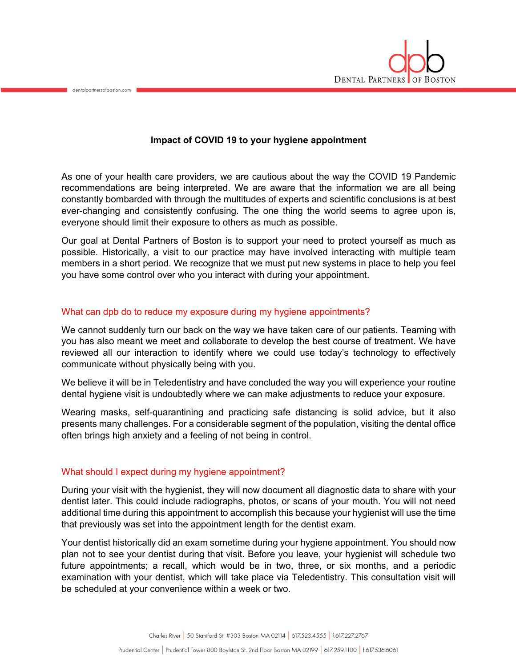

## **Impact of COVID 19 to your hygiene appointment**

As one of your health care providers, we are cautious about the way the COVID 19 Pandemic recommendations are being interpreted. We are aware that the information we are all being constantly bombarded with through the multitudes of experts and scientific conclusions is at best ever-changing and consistently confusing. The one thing the world seems to agree upon is, everyone should limit their exposure to others as much as possible.

Our goal at Dental Partners of Boston is to support your need to protect yourself as much as possible. Historically, a visit to our practice may have involved interacting with multiple team members in a short period. We recognize that we must put new systems in place to help you feel you have some control over who you interact with during your appointment.

## What can dpb do to reduce my exposure during my hygiene appointments?

We cannot suddenly turn our back on the way we have taken care of our patients. Teaming with you has also meant we meet and collaborate to develop the best course of treatment. We have reviewed all our interaction to identify where we could use today's technology to effectively communicate without physically being with you.

We believe it will be in Teledentistry and have concluded the way you will experience your routine dental hygiene visit is undoubtedly where we can make adjustments to reduce your exposure.

Wearing masks, self-quarantining and practicing safe distancing is solid advice, but it also presents many challenges. For a considerable segment of the population, visiting the dental office often brings high anxiety and a feeling of not being in control.

## What should I expect during my hygiene appointment?

dentalpartnersofboston.com

During your visit with the hygienist, they will now document all diagnostic data to share with your dentist later. This could include radiographs, photos, or scans of your mouth. You will not need additional time during this appointment to accomplish this because your hygienist will use the time that previously was set into the appointment length for the dentist exam.

Your dentist historically did an exam sometime during your hygiene appointment. You should now plan not to see your dentist during that visit. Before you leave, your hygienist will schedule two future appointments; a recall, which would be in two, three, or six months, and a periodic examination with your dentist, which will take place via Teledentistry. This consultation visit will be scheduled at your convenience within a week or two.